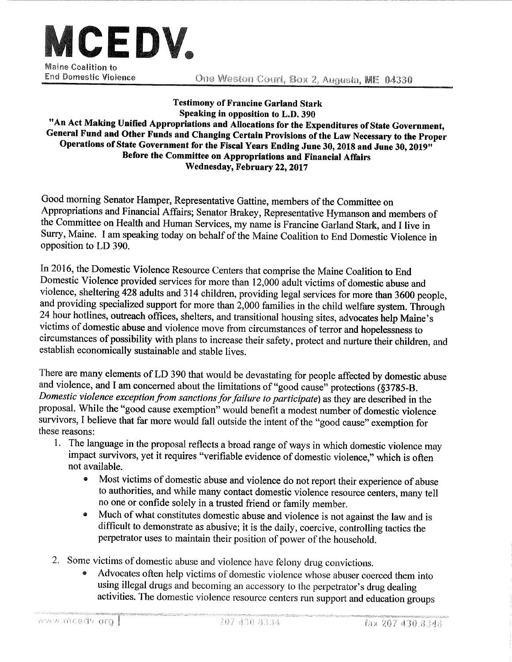

One Weston Court, Box 2, Augusta, ME 04330

**Testimony of Francine Garland Stark** Speaking in opposition to L.D. 390 "An Act Making Unified Appropriations and Allocations for the Expenditures of State Government, General Fund and Other Funds and Changing Certain Provisions of the Law Necessary to the Proper Operations of State Government for the Fiscal Years Ending June 30, 2018 and June 30, 2019" Before the Committee on Appropriations and Financial Affairs Wednesday, February 22, 2017

Good morning Senator Hamper, Representative Gattine, members of the Committee on Appropriations and Financial Affairs; Senator Brakey, Representative Hymanson and members of the Committee on Health and Human Services, my name is Francine Garland Stark, and I live in Surry, Maine. I am speaking today on behalf of the Maine Coalition to End Domestic Violence in opposition to LD 390.

In 2016, the Domestic Violence Resource Centers that comprise the Maine Coalition to End Domestic Violence provided services for more than 12,000 adult victims of domestic abuse and violence, sheltering 428 adults and 314 children, providing legal services for more than 3600 people, and providing specialized support for more than 2,000 families in the child welfare system. Through 24 hour hotlines, outreach offices, shelters, and transitional housing sites, advocates help Maine's victims of domestic abuse and violence move from circumstances of terror and hopelessness to circumstances of possibility with plans to increase their safety, protect and nurture their children, and establish economically sustainable and stable lives.

There are many elements of LD 390 that would be devastating for people affected by domestic abuse and violence, and I am concerned about the limitations of "good cause" protections (§3785-B. Domestic violence exception from sanctions for failure to participate) as they are described in the proposal. While the "good cause exemption" would benefit a modest number of domestic violence survivors, I believe that far more would fall outside the intent of the "good cause" exemption for these reasons:

- 1. The language in the proposal reflects a broad range of ways in which domestic violence may impact survivors, yet it requires "verifiable evidence of domestic violence," which is often not available.
	- Most victims of domestic abuse and violence do not report their experience of abuse  $\bullet$ to authorities, and while many contact domestic violence resource centers, many tell no one or confide solely in a trusted friend or family member.
	- Much of what constitutes domestic abuse and violence is not against the law and is  $\bullet$ difficult to demonstrate as abusive; it is the daily, coercive, controlling tactics the perpetrator uses to maintain their position of power of the household.
- 2. Some victims of domestic abuse and violence have felony drug convictions.
	- Advocates often help victims of domestic violence whose abuser coerced them into using illegal drugs and becoming an accessory to the perpetrator's drug dealing activities. The domestic violence resource centers run support and education groups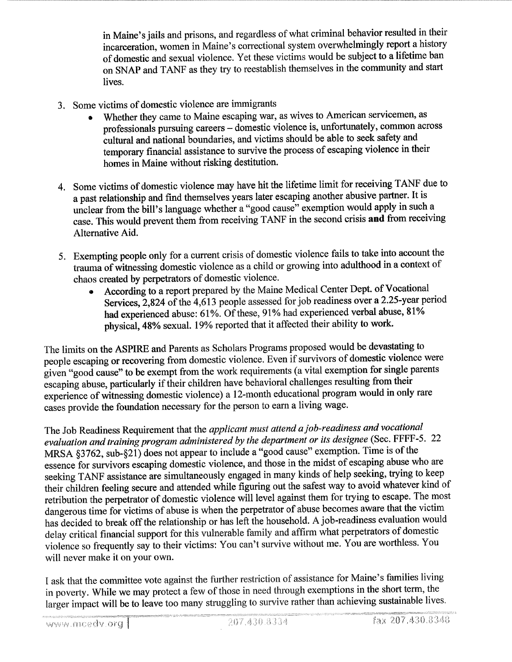in Maine's jails and prisons, and regardless of what criminal behavior resulted in their incarceration, women in Maine's correctional system overwhelmingly report a history of domestic and sexual violence. Yet these victims would be subject to a lifetime ban on SNAP and TANF as they try to reestablish themselves in the community and start lives.

- 3. Some victims of domestic violence are immigrants
	- Whether they came to Maine escaping war, as wives to American servicemen, as professionals pursuing careers - domestic violence is, unfortunately, common across cultural and national boundaries, and victims should be able to seek safety and temporary financial assistance to survive the process of escaping violence in their homes in Maine without risking destitution.
- 4. Some victims of domestic violence may have hit the lifetime limit for receiving TANF due to a past relationship and find themselves years later escaping another abusive partner. It is unclear from the bill's language whether a "good cause" exemption would apply in such a case. This would prevent them from receiving TANF in the second crisis and from receiving Alternative Aid.
- 5. Exempting people only for a current crisis of domestic violence fails to take into account the trauma of witnessing domestic violence as a child or growing into adulthood in a context of chaos created by perpetrators of domestic violence.
	- According to a report prepared by the Maine Medical Center Dept. of Vocational Services, 2,824 of the 4,613 people assessed for job readiness over a 2.25-year period had experienced abuse: 61%. Of these, 91% had experienced verbal abuse, 81% physical, 48% sexual. 19% reported that it affected their ability to work.

The limits on the ASPIRE and Parents as Scholars Programs proposed would be devastating to people escaping or recovering from domestic violence. Even if survivors of domestic violence were given "good cause" to be exempt from the work requirements (a vital exemption for single parents escaping abuse, particularly if their children have behavioral challenges resulting from their experience of witnessing domestic violence) a 12-month educational program would in only rare cases provide the foundation necessary for the person to earn a living wage.

The Job Readiness Requirement that the *applicant must attend a job-readiness and vocational* evaluation and training program administered by the department or its designee (Sec. FFFF-5. 22 MRSA  $\S 3762$ , sub- $\S 21$ ) does not appear to include a "good cause" exemption. Time is of the essence for survivors escaping domestic violence, and those in the midst of escaping abuse who are seeking TANF assistance are simultaneously engaged in many kinds of help seeking, trying to keep their children feeling secure and attended while figuring out the safest way to avoid whatever kind of retribution the perpetrator of domestic violence will level against them for trying to escape. The most dangerous time for victims of abuse is when the perpetrator of abuse becomes aware that the victim has decided to break off the relationship or has left the household. A job-readiness evaluation would delay critical financial support for this vulnerable family and affirm what perpetrators of domestic violence so frequently say to their victims: You can't survive without me. You are worthless. You will never make it on your own.

I ask that the committee vote against the further restriction of assistance for Maine's families living in poverty. While we may protect a few of those in need through exemptions in the short term, the larger impact will be to leave too many struggling to survive rather than achieving sustainable lives.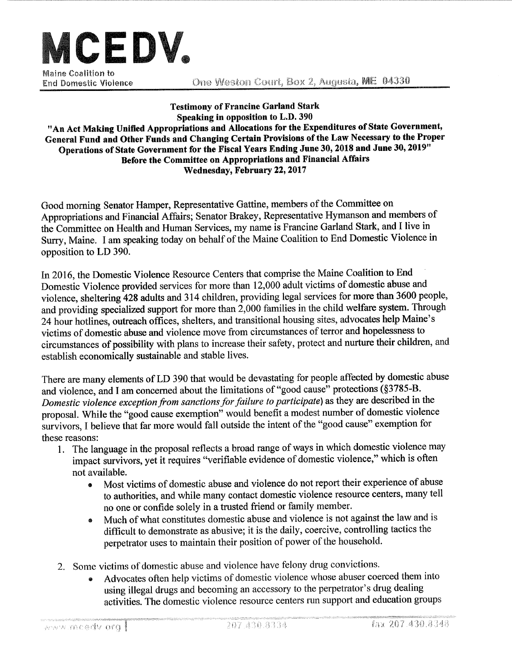

**End Domestic Violence** 

One Weston Court, Box 2, Augusta, ME 04330

**Testimony of Francine Garland Stark** Speaking in opposition to L.D. 390 "An Act Making Unified Appropriations and Allocations for the Expenditures of State Government, General Fund and Other Funds and Changing Certain Provisions of the Law Necessary to the Proper Operations of State Government for the Fiscal Years Ending June 30, 2018 and June 30, 2019" Before the Committee on Appropriations and Financial Affairs Wednesday, February 22, 2017

Good morning Senator Hamper, Representative Gattine, members of the Committee on Appropriations and Financial Affairs; Senator Brakey, Representative Hymanson and members of the Committee on Health and Human Services, my name is Francine Garland Stark, and I live in Surry, Maine. I am speaking today on behalf of the Maine Coalition to End Domestic Violence in opposition to LD 390.

In 2016, the Domestic Violence Resource Centers that comprise the Maine Coalition to End Domestic Violence provided services for more than 12,000 adult victims of domestic abuse and violence, sheltering 428 adults and 314 children, providing legal services for more than 3600 people, and providing specialized support for more than 2,000 families in the child welfare system. Through 24 hour hotlines, outreach offices, shelters, and transitional housing sites, advocates help Maine's victims of domestic abuse and violence move from circumstances of terror and hopelessness to circumstances of possibility with plans to increase their safety, protect and nurture their children, and establish economically sustainable and stable lives.

There are many elements of LD 390 that would be devastating for people affected by domestic abuse and violence, and I am concerned about the limitations of "good cause" protections (§3785-B. Domestic violence exception from sanctions for failure to participate) as they are described in the proposal. While the "good cause exemption" would benefit a modest number of domestic violence survivors, I believe that far more would fall outside the intent of the "good cause" exemption for these reasons:

- 1. The language in the proposal reflects a broad range of ways in which domestic violence may impact survivors, yet it requires "verifiable evidence of domestic violence," which is often not available.
	- Most victims of domestic abuse and violence do not report their experience of abuse  $\bullet$ to authorities, and while many contact domestic violence resource centers, many tell no one or confide solely in a trusted friend or family member.
	- Much of what constitutes domestic abuse and violence is not against the law and is  $\bullet$ difficult to demonstrate as abusive; it is the daily, coercive, controlling tactics the perpetrator uses to maintain their position of power of the household.
- 2. Some victims of domestic abuse and violence have felony drug convictions.
	- Advocates often help victims of domestic violence whose abuser coerced them into using illegal drugs and becoming an accessory to the perpetrator's drug dealing activities. The domestic violence resource centers run support and education groups